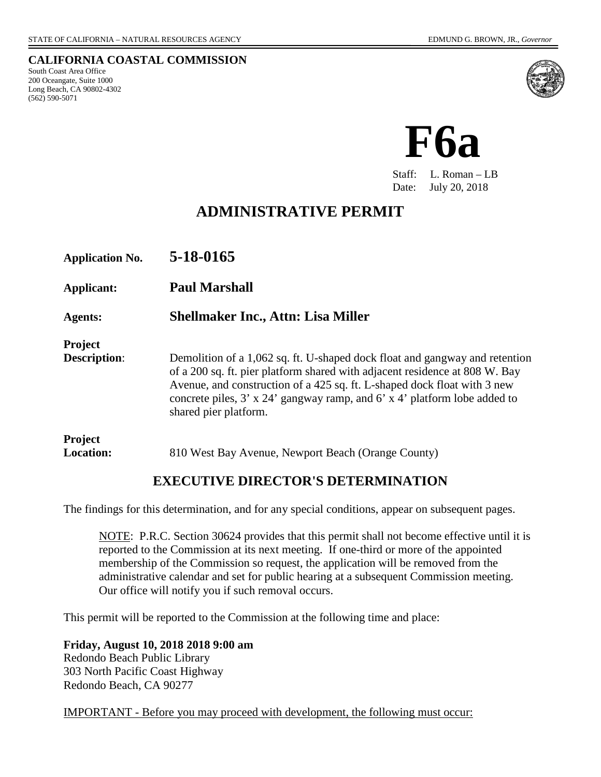**CALIFORNIA COASTAL COMMISSION**

South Coast Area Office 200 Oceangate, Suite 1000 Long Beach, CA 90802-4302 (562) 590-5071





Staff: L. Roman – LB Date: July 20, 2018

# **ADMINISTRATIVE PERMIT**

| <b>Application No.</b>                | 5-18-0165                                                                                                                                                                                                                                                                                                                                                  |
|---------------------------------------|------------------------------------------------------------------------------------------------------------------------------------------------------------------------------------------------------------------------------------------------------------------------------------------------------------------------------------------------------------|
| Applicant:                            | <b>Paul Marshall</b>                                                                                                                                                                                                                                                                                                                                       |
| <b>Agents:</b>                        | <b>Shellmaker Inc., Attn: Lisa Miller</b>                                                                                                                                                                                                                                                                                                                  |
| <b>Project</b><br><b>Description:</b> | Demolition of a 1,062 sq. ft. U-shaped dock float and gangway and retention<br>of a 200 sq. ft. pier platform shared with adjacent residence at 808 W. Bay<br>Avenue, and construction of a 425 sq. ft. L-shaped dock float with 3 new<br>concrete piles, $3' \times 24'$ gangway ramp, and $6' \times 4'$ platform lobe added to<br>shared pier platform. |
| <b>Project</b><br><b>Location:</b>    | 810 West Bay Avenue, Newport Beach (Orange County)                                                                                                                                                                                                                                                                                                         |

### **EXECUTIVE DIRECTOR'S DETERMINATION**

The findings for this determination, and for any special conditions, appear on subsequent pages.

NOTE: P.R.C. Section 30624 provides that this permit shall not become effective until it is reported to the Commission at its next meeting. If one-third or more of the appointed membership of the Commission so request, the application will be removed from the administrative calendar and set for public hearing at a subsequent Commission meeting. Our office will notify you if such removal occurs.

This permit will be reported to the Commission at the following time and place:

**Friday, August 10, 2018 2018 9:00 am**

Redondo Beach Public Library 303 North Pacific Coast Highway Redondo Beach, CA 90277

IMPORTANT - Before you may proceed with development, the following must occur: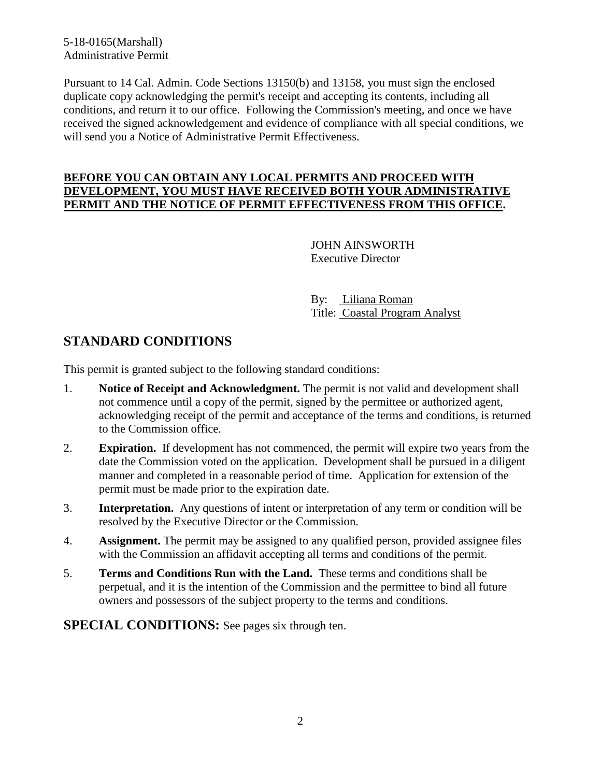5-18-0165(Marshall) Administrative Permit

Pursuant to 14 Cal. Admin. Code Sections 13150(b) and 13158, you must sign the enclosed duplicate copy acknowledging the permit's receipt and accepting its contents, including all conditions, and return it to our office. Following the Commission's meeting, and once we have received the signed acknowledgement and evidence of compliance with all special conditions, we will send you a Notice of Administrative Permit Effectiveness.

#### **BEFORE YOU CAN OBTAIN ANY LOCAL PERMITS AND PROCEED WITH DEVELOPMENT, YOU MUST HAVE RECEIVED BOTH YOUR ADMINISTRATIVE PERMIT AND THE NOTICE OF PERMIT EFFECTIVENESS FROM THIS OFFICE.**

 JOHN AINSWORTH Executive Director

 By: Liliana Roman Title: Coastal Program Analyst

## **STANDARD CONDITIONS**

This permit is granted subject to the following standard conditions:

- 1. **Notice of Receipt and Acknowledgment.** The permit is not valid and development shall not commence until a copy of the permit, signed by the permittee or authorized agent, acknowledging receipt of the permit and acceptance of the terms and conditions, is returned to the Commission office.
- 2. **Expiration.** If development has not commenced, the permit will expire two years from the date the Commission voted on the application. Development shall be pursued in a diligent manner and completed in a reasonable period of time. Application for extension of the permit must be made prior to the expiration date.
- 3. **Interpretation.** Any questions of intent or interpretation of any term or condition will be resolved by the Executive Director or the Commission.
- 4. **Assignment.** The permit may be assigned to any qualified person, provided assignee files with the Commission an affidavit accepting all terms and conditions of the permit.
- 5. **Terms and Conditions Run with the Land.** These terms and conditions shall be perpetual, and it is the intention of the Commission and the permittee to bind all future owners and possessors of the subject property to the terms and conditions.

**SPECIAL CONDITIONS:** See pages six through ten.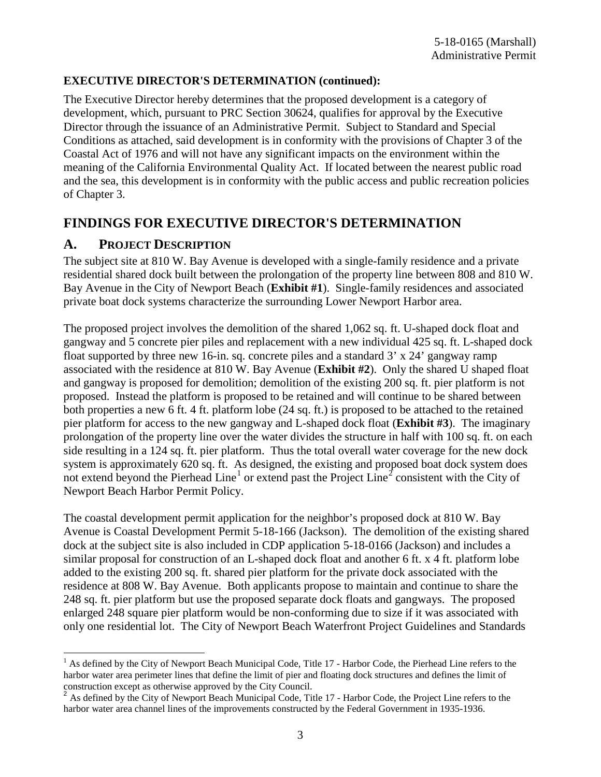#### **EXECUTIVE DIRECTOR'S DETERMINATION (continued):**

The Executive Director hereby determines that the proposed development is a category of development, which, pursuant to PRC Section 30624, qualifies for approval by the Executive Director through the issuance of an Administrative Permit. Subject to Standard and Special Conditions as attached, said development is in conformity with the provisions of Chapter 3 of the Coastal Act of 1976 and will not have any significant impacts on the environment within the meaning of the California Environmental Quality Act. If located between the nearest public road and the sea, this development is in conformity with the public access and public recreation policies of Chapter 3.

## **FINDINGS FOR EXECUTIVE DIRECTOR'S DETERMINATION**

### **A. PROJECT DESCRIPTION**

The subject site at 810 W. Bay Avenue is developed with a single-family residence and a private residential shared dock built between the prolongation of the property line between 808 and 810 W. Bay Avenue in the City of Newport Beach (**Exhibit #1**). Single-family residences and associated private boat dock systems characterize the surrounding Lower Newport Harbor area.

The proposed project involves the demolition of the shared 1,062 sq. ft. U-shaped dock float and gangway and 5 concrete pier piles and replacement with a new individual 425 sq. ft. L-shaped dock float supported by three new 16-in. sq. concrete piles and a standard 3' x 24' gangway ramp associated with the residence at 810 W. Bay Avenue (**Exhibit #2**). Only the shared U shaped float and gangway is proposed for demolition; demolition of the existing 200 sq. ft. pier platform is not proposed. Instead the platform is proposed to be retained and will continue to be shared between both properties a new 6 ft. 4 ft. platform lobe (24 sq. ft.) is proposed to be attached to the retained pier platform for access to the new gangway and L-shaped dock float (**Exhibit #3**). The imaginary prolongation of the property line over the water divides the structure in half with 100 sq. ft. on each side resulting in a 124 sq. ft. pier platform. Thus the total overall water coverage for the new dock system is approximately 620 sq. ft. As designed, the existing and proposed boat dock system does not extend beyond the Pierhead Line<sup>[1](#page-2-0)</sup> or extend past the Project Line<sup>[2](#page-2-1)</sup> consistent with the City of Newport Beach Harbor Permit Policy.

The coastal development permit application for the neighbor's proposed dock at 810 W. Bay Avenue is Coastal Development Permit 5-18-166 (Jackson). The demolition of the existing shared dock at the subject site is also included in CDP application 5-18-0166 (Jackson) and includes a similar proposal for construction of an L-shaped dock float and another 6 ft. x 4 ft. platform lobe added to the existing 200 sq. ft. shared pier platform for the private dock associated with the residence at 808 W. Bay Avenue. Both applicants propose to maintain and continue to share the 248 sq. ft. pier platform but use the proposed separate dock floats and gangways. The proposed enlarged 248 square pier platform would be non-conforming due to size if it was associated with only one residential lot. The City of Newport Beach Waterfront Project Guidelines and Standards

<span id="page-2-0"></span> $\overline{a}$  $<sup>1</sup>$  As defined by the City of Newport Beach Municipal Code, Title 17 - Harbor Code, the Pierhead Line refers to the</sup> harbor water area perimeter lines that define the limit of pier and floating dock structures and defines the limit of

<span id="page-2-1"></span>construction except as otherwise approved by the City Council.<br><sup>2</sup> As defined by the City of Newport Beach Municipal Code, Title 17 - Harbor Code, the Project Line refers to the harbor water area channel lines of the improvements constructed by the Federal Government in 1935-1936.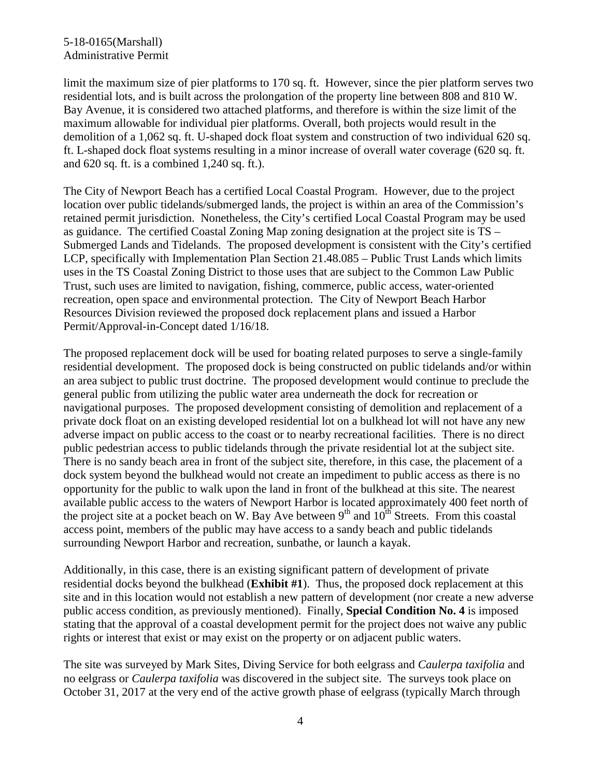#### 5-18-0165(Marshall) Administrative Permit

limit the maximum size of pier platforms to 170 sq. ft. However, since the pier platform serves two residential lots, and is built across the prolongation of the property line between 808 and 810 W. Bay Avenue, it is considered two attached platforms, and therefore is within the size limit of the maximum allowable for individual pier platforms. Overall, both projects would result in the demolition of a 1,062 sq. ft. U-shaped dock float system and construction of two individual 620 sq. ft. L-shaped dock float systems resulting in a minor increase of overall water coverage (620 sq. ft. and 620 sq. ft. is a combined 1,240 sq. ft.).

The City of Newport Beach has a certified Local Coastal Program. However, due to the project location over public tidelands/submerged lands, the project is within an area of the Commission's retained permit jurisdiction. Nonetheless, the City's certified Local Coastal Program may be used as guidance. The certified Coastal Zoning Map zoning designation at the project site is TS – Submerged Lands and Tidelands. The proposed development is consistent with the City's certified LCP, specifically with Implementation Plan Section 21.48.085 – Public Trust Lands which limits uses in the TS Coastal Zoning District to those uses that are subject to the Common Law Public Trust, such uses are limited to navigation, fishing, commerce, public access, water-oriented recreation, open space and environmental protection. The City of Newport Beach Harbor Resources Division reviewed the proposed dock replacement plans and issued a Harbor Permit/Approval-in-Concept dated 1/16/18.

The proposed replacement dock will be used for boating related purposes to serve a single-family residential development. The proposed dock is being constructed on public tidelands and/or within an area subject to public trust doctrine. The proposed development would continue to preclude the general public from utilizing the public water area underneath the dock for recreation or navigational purposes. The proposed development consisting of demolition and replacement of a private dock float on an existing developed residential lot on a bulkhead lot will not have any new adverse impact on public access to the coast or to nearby recreational facilities. There is no direct public pedestrian access to public tidelands through the private residential lot at the subject site. There is no sandy beach area in front of the subject site, therefore, in this case, the placement of a dock system beyond the bulkhead would not create an impediment to public access as there is no opportunity for the public to walk upon the land in front of the bulkhead at this site. The nearest available public access to the waters of Newport Harbor is located approximately 400 feet north of the project site at a pocket beach on W. Bay Ave between  $9<sup>th</sup>$  and  $10<sup>th</sup>$  Streets. From this coastal access point, members of the public may have access to a sandy beach and public tidelands surrounding Newport Harbor and recreation, sunbathe, or launch a kayak.

Additionally, in this case, there is an existing significant pattern of development of private residential docks beyond the bulkhead (**Exhibit #1**). Thus, the proposed dock replacement at this site and in this location would not establish a new pattern of development (nor create a new adverse public access condition, as previously mentioned). Finally, **Special Condition No. 4** is imposed stating that the approval of a coastal development permit for the project does not waive any public rights or interest that exist or may exist on the property or on adjacent public waters.

The site was surveyed by Mark Sites, Diving Service for both eelgrass and *Caulerpa taxifolia* and no eelgrass or *Caulerpa taxifolia* was discovered in the subject site. The surveys took place on October 31, 2017 at the very end of the active growth phase of eelgrass (typically March through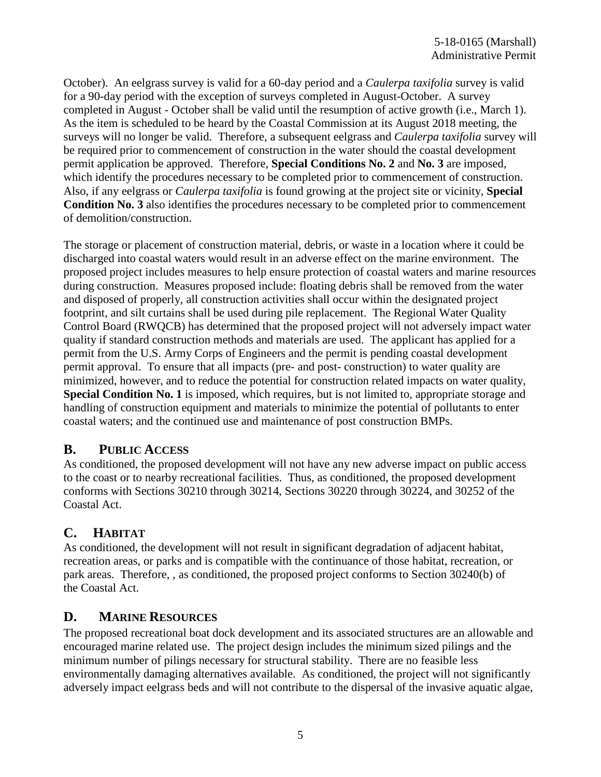October). An eelgrass survey is valid for a 60-day period and a *Caulerpa taxifolia* survey is valid for a 90-day period with the exception of surveys completed in August-October. A survey completed in August - October shall be valid until the resumption of active growth (i.e., March 1). As the item is scheduled to be heard by the Coastal Commission at its August 2018 meeting, the surveys will no longer be valid. Therefore, a subsequent eelgrass and *Caulerpa taxifolia* survey will be required prior to commencement of construction in the water should the coastal development permit application be approved. Therefore, **Special Conditions No. 2** and **No. 3** are imposed, which identify the procedures necessary to be completed prior to commencement of construction. Also, if any eelgrass or *Caulerpa taxifolia* is found growing at the project site or vicinity, **Special Condition No. 3** also identifies the procedures necessary to be completed prior to commencement of demolition/construction.

The storage or placement of construction material, debris, or waste in a location where it could be discharged into coastal waters would result in an adverse effect on the marine environment. The proposed project includes measures to help ensure protection of coastal waters and marine resources during construction. Measures proposed include: floating debris shall be removed from the water and disposed of properly, all construction activities shall occur within the designated project footprint, and silt curtains shall be used during pile replacement. The Regional Water Quality Control Board (RWQCB) has determined that the proposed project will not adversely impact water quality if standard construction methods and materials are used. The applicant has applied for a permit from the U.S. Army Corps of Engineers and the permit is pending coastal development permit approval. To ensure that all impacts (pre- and post- construction) to water quality are minimized, however, and to reduce the potential for construction related impacts on water quality, **Special Condition No. 1** is imposed, which requires, but is not limited to, appropriate storage and handling of construction equipment and materials to minimize the potential of pollutants to enter coastal waters; and the continued use and maintenance of post construction BMPs.

## **B. PUBLIC ACCESS**

As conditioned, the proposed development will not have any new adverse impact on public access to the coast or to nearby recreational facilities. Thus, as conditioned, the proposed development conforms with Sections 30210 through 30214, Sections 30220 through 30224, and 30252 of the Coastal Act.

# **C. HABITAT**

As conditioned, the development will not result in significant degradation of adjacent habitat, recreation areas, or parks and is compatible with the continuance of those habitat, recreation, or park areas. Therefore, , as conditioned, the proposed project conforms to Section 30240(b) of the Coastal Act.

### **D. MARINE RESOURCES**

The proposed recreational boat dock development and its associated structures are an allowable and encouraged marine related use. The project design includes the minimum sized pilings and the minimum number of pilings necessary for structural stability. There are no feasible less environmentally damaging alternatives available. As conditioned, the project will not significantly adversely impact eelgrass beds and will not contribute to the dispersal of the invasive aquatic algae,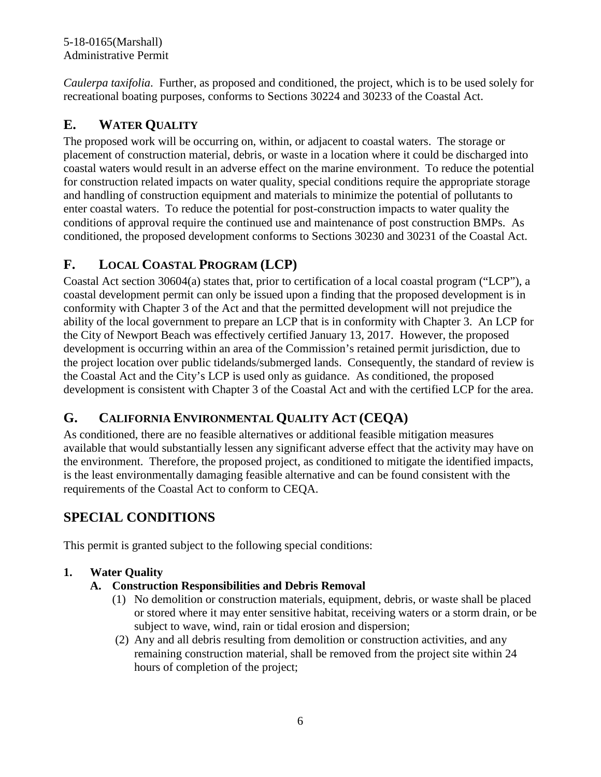5-18-0165(Marshall) Administrative Permit

*Caulerpa taxifolia*. Further, as proposed and conditioned, the project, which is to be used solely for recreational boating purposes, conforms to Sections 30224 and 30233 of the Coastal Act.

# **E. WATER QUALITY**

The proposed work will be occurring on, within, or adjacent to coastal waters. The storage or placement of construction material, debris, or waste in a location where it could be discharged into coastal waters would result in an adverse effect on the marine environment. To reduce the potential for construction related impacts on water quality, special conditions require the appropriate storage and handling of construction equipment and materials to minimize the potential of pollutants to enter coastal waters. To reduce the potential for post-construction impacts to water quality the conditions of approval require the continued use and maintenance of post construction BMPs. As conditioned, the proposed development conforms to Sections 30230 and 30231 of the Coastal Act.

# **F. LOCAL COASTAL PROGRAM (LCP)**

Coastal Act section 30604(a) states that, prior to certification of a local coastal program ("LCP"), a coastal development permit can only be issued upon a finding that the proposed development is in conformity with Chapter 3 of the Act and that the permitted development will not prejudice the ability of the local government to prepare an LCP that is in conformity with Chapter 3. An LCP for the City of Newport Beach was effectively certified January 13, 2017. However, the proposed development is occurring within an area of the Commission's retained permit jurisdiction, due to the project location over public tidelands/submerged lands. Consequently, the standard of review is the Coastal Act and the City's LCP is used only as guidance. As conditioned, the proposed development is consistent with Chapter 3 of the Coastal Act and with the certified LCP for the area.

# **G. CALIFORNIA ENVIRONMENTAL QUALITY ACT (CEQA)**

As conditioned, there are no feasible alternatives or additional feasible mitigation measures available that would substantially lessen any significant adverse effect that the activity may have on the environment. Therefore, the proposed project, as conditioned to mitigate the identified impacts, is the least environmentally damaging feasible alternative and can be found consistent with the requirements of the Coastal Act to conform to CEQA.

# **SPECIAL CONDITIONS**

This permit is granted subject to the following special conditions:

### **1. Water Quality**

### **A. Construction Responsibilities and Debris Removal**

- (1) No demolition or construction materials, equipment, debris, or waste shall be placed or stored where it may enter sensitive habitat, receiving waters or a storm drain, or be subject to wave, wind, rain or tidal erosion and dispersion;
- (2) Any and all debris resulting from demolition or construction activities, and any remaining construction material, shall be removed from the project site within 24 hours of completion of the project;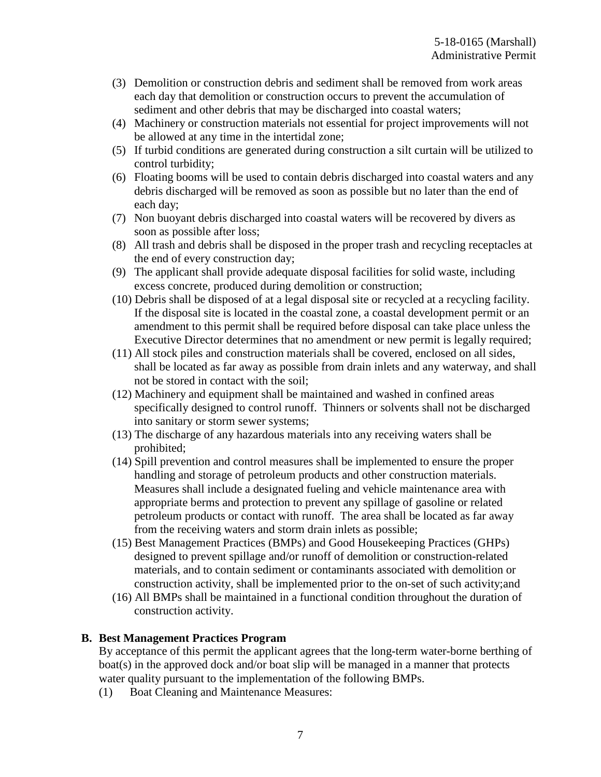- (3) Demolition or construction debris and sediment shall be removed from work areas each day that demolition or construction occurs to prevent the accumulation of sediment and other debris that may be discharged into coastal waters;
- (4) Machinery or construction materials not essential for project improvements will not be allowed at any time in the intertidal zone;
- (5) If turbid conditions are generated during construction a silt curtain will be utilized to control turbidity;
- (6) Floating booms will be used to contain debris discharged into coastal waters and any debris discharged will be removed as soon as possible but no later than the end of each day;
- (7) Non buoyant debris discharged into coastal waters will be recovered by divers as soon as possible after loss;
- (8) All trash and debris shall be disposed in the proper trash and recycling receptacles at the end of every construction day;
- (9) The applicant shall provide adequate disposal facilities for solid waste, including excess concrete, produced during demolition or construction;
- (10) Debris shall be disposed of at a legal disposal site or recycled at a recycling facility. If the disposal site is located in the coastal zone, a coastal development permit or an amendment to this permit shall be required before disposal can take place unless the Executive Director determines that no amendment or new permit is legally required;
- (11) All stock piles and construction materials shall be covered, enclosed on all sides, shall be located as far away as possible from drain inlets and any waterway, and shall not be stored in contact with the soil;
- (12) Machinery and equipment shall be maintained and washed in confined areas specifically designed to control runoff. Thinners or solvents shall not be discharged into sanitary or storm sewer systems;
- (13) The discharge of any hazardous materials into any receiving waters shall be prohibited;
- (14) Spill prevention and control measures shall be implemented to ensure the proper handling and storage of petroleum products and other construction materials. Measures shall include a designated fueling and vehicle maintenance area with appropriate berms and protection to prevent any spillage of gasoline or related petroleum products or contact with runoff. The area shall be located as far away from the receiving waters and storm drain inlets as possible;
- (15) Best Management Practices (BMPs) and Good Housekeeping Practices (GHPs) designed to prevent spillage and/or runoff of demolition or construction-related materials, and to contain sediment or contaminants associated with demolition or construction activity, shall be implemented prior to the on-set of such activity;and
- (16) All BMPs shall be maintained in a functional condition throughout the duration of construction activity.

### **B. Best Management Practices Program**

By acceptance of this permit the applicant agrees that the long-term water-borne berthing of boat(s) in the approved dock and/or boat slip will be managed in a manner that protects water quality pursuant to the implementation of the following BMPs.

(1) Boat Cleaning and Maintenance Measures: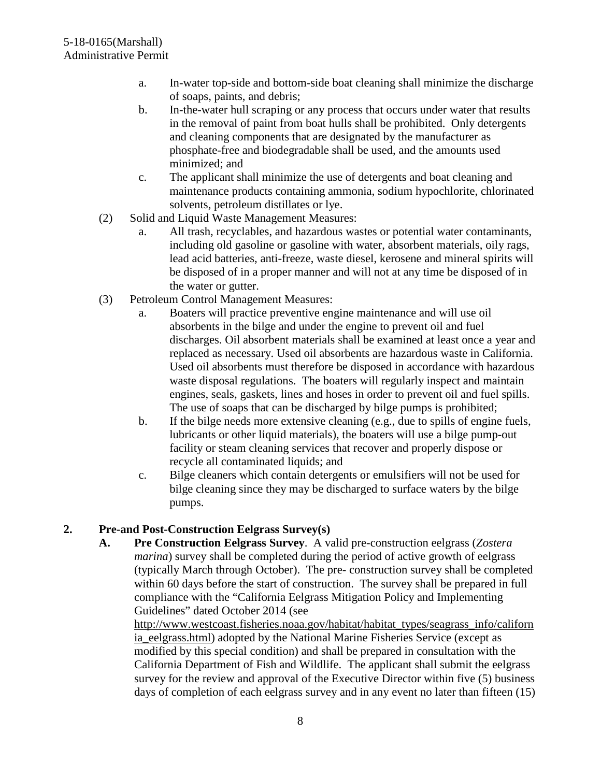- a. In-water top-side and bottom-side boat cleaning shall minimize the discharge of soaps, paints, and debris;
- b. In-the-water hull scraping or any process that occurs under water that results in the removal of paint from boat hulls shall be prohibited. Only detergents and cleaning components that are designated by the manufacturer as phosphate-free and biodegradable shall be used, and the amounts used minimized; and
- c. The applicant shall minimize the use of detergents and boat cleaning and maintenance products containing ammonia, sodium hypochlorite, chlorinated solvents, petroleum distillates or lye.
- (2) Solid and Liquid Waste Management Measures:
	- a. All trash, recyclables, and hazardous wastes or potential water contaminants, including old gasoline or gasoline with water, absorbent materials, oily rags, lead acid batteries, anti-freeze, waste diesel, kerosene and mineral spirits will be disposed of in a proper manner and will not at any time be disposed of in the water or gutter.
- (3) Petroleum Control Management Measures:
	- a. Boaters will practice preventive engine maintenance and will use oil absorbents in the bilge and under the engine to prevent oil and fuel discharges. Oil absorbent materials shall be examined at least once a year and replaced as necessary. Used oil absorbents are hazardous waste in California. Used oil absorbents must therefore be disposed in accordance with hazardous waste disposal regulations. The boaters will regularly inspect and maintain engines, seals, gaskets, lines and hoses in order to prevent oil and fuel spills. The use of soaps that can be discharged by bilge pumps is prohibited;
	- b. If the bilge needs more extensive cleaning (e.g., due to spills of engine fuels, lubricants or other liquid materials), the boaters will use a bilge pump-out facility or steam cleaning services that recover and properly dispose or recycle all contaminated liquids; and
	- c. Bilge cleaners which contain detergents or emulsifiers will not be used for bilge cleaning since they may be discharged to surface waters by the bilge pumps.

#### **2. Pre-and Post-Construction Eelgrass Survey(s)**

**A. Pre Construction Eelgrass Survey**. A valid pre-construction eelgrass (*Zostera marina*) survey shall be completed during the period of active growth of eelgrass (typically March through October). The pre- construction survey shall be completed within 60 days before the start of construction. The survey shall be prepared in full compliance with the "California Eelgrass Mitigation Policy and Implementing Guidelines" dated October 2014 (see

[http://www.westcoast.fisheries.noaa.gov/habitat/habitat\\_types/seagrass\\_info/californ](http://www.westcoast.fisheries.noaa.gov/habitat/habitat_types/seagrass_info/california_eelgrass.html) ia eelgrass.html) adopted by the National Marine Fisheries Service (except as modified by this special condition) and shall be prepared in consultation with the California Department of Fish and Wildlife. The applicant shall submit the eelgrass survey for the review and approval of the Executive Director within five (5) business days of completion of each eelgrass survey and in any event no later than fifteen (15)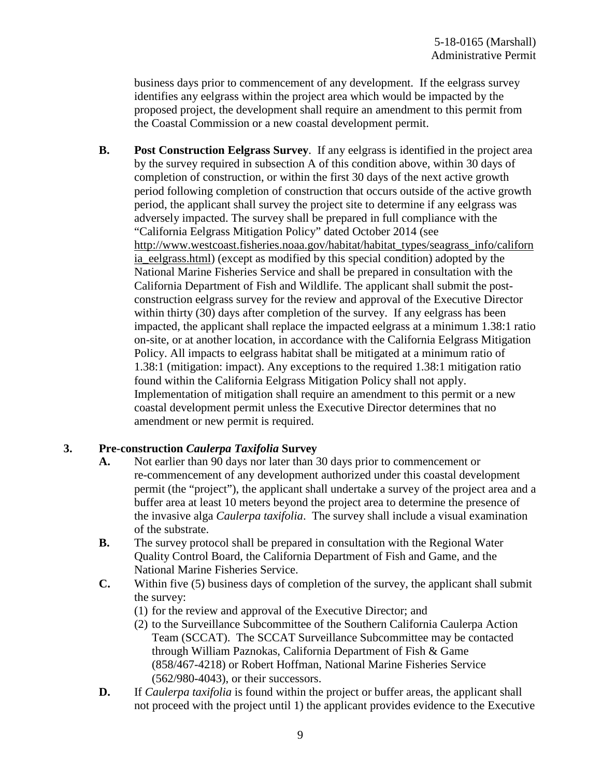business days prior to commencement of any development. If the eelgrass survey identifies any eelgrass within the project area which would be impacted by the proposed project, the development shall require an amendment to this permit from the Coastal Commission or a new coastal development permit.

**B. Post Construction Eelgrass Survey**. If any eelgrass is identified in the project area by the survey required in subsection A of this condition above, within 30 days of completion of construction, or within the first 30 days of the next active growth period following completion of construction that occurs outside of the active growth period, the applicant shall survey the project site to determine if any eelgrass was adversely impacted. The survey shall be prepared in full compliance with the "California Eelgrass Mitigation Policy" dated October 2014 (see [http://www.westcoast.fisheries.noaa.gov/habitat/habitat\\_types/seagrass\\_info/californ](http://www.westcoast.fisheries.noaa.gov/habitat/habitat_types/seagrass_info/california_eelgrass.html) ia eelgrass.html) (except as modified by this special condition) adopted by the National Marine Fisheries Service and shall be prepared in consultation with the California Department of Fish and Wildlife. The applicant shall submit the postconstruction eelgrass survey for the review and approval of the Executive Director within thirty (30) days after completion of the survey. If any eelgrass has been impacted, the applicant shall replace the impacted eelgrass at a minimum 1.38:1 ratio on-site, or at another location, in accordance with the California Eelgrass Mitigation Policy. All impacts to eelgrass habitat shall be mitigated at a minimum ratio of 1.38:1 (mitigation: impact). Any exceptions to the required 1.38:1 mitigation ratio found within the California Eelgrass Mitigation Policy shall not apply. Implementation of mitigation shall require an amendment to this permit or a new coastal development permit unless the Executive Director determines that no amendment or new permit is required.

#### **3. Pre-construction** *Caulerpa Taxifolia* **Survey**

- **A.** Not earlier than 90 days nor later than 30 days prior to commencement or re-commencement of any development authorized under this coastal development permit (the "project"), the applicant shall undertake a survey of the project area and a buffer area at least 10 meters beyond the project area to determine the presence of the invasive alga *Caulerpa taxifolia*. The survey shall include a visual examination of the substrate.
- **B.** The survey protocol shall be prepared in consultation with the Regional Water Quality Control Board, the California Department of Fish and Game, and the National Marine Fisheries Service.
- **C.** Within five (5) business days of completion of the survey, the applicant shall submit the survey:
	- (1) for the review and approval of the Executive Director; and
	- (2) to the Surveillance Subcommittee of the Southern California Caulerpa Action Team (SCCAT). The SCCAT Surveillance Subcommittee may be contacted through William Paznokas, California Department of Fish & Game (858/467-4218) or Robert Hoffman, National Marine Fisheries Service (562/980-4043), or their successors.
- **D.** If *Caulerpa taxifolia* is found within the project or buffer areas, the applicant shall not proceed with the project until 1) the applicant provides evidence to the Executive